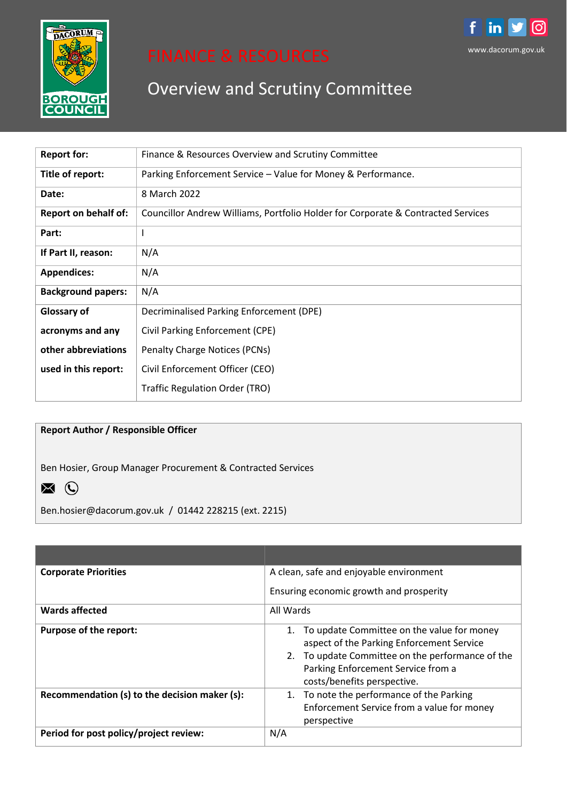

# Overview and Scrutiny Committee

www.dacorum.gov.uk

in

രി

f

| <b>Report for:</b>          | Finance & Resources Overview and Scrutiny Committee                              |
|-----------------------------|----------------------------------------------------------------------------------|
| Title of report:            | Parking Enforcement Service – Value for Money & Performance.                     |
| Date:                       | 8 March 2022                                                                     |
| <b>Report on behalf of:</b> | Councillor Andrew Williams, Portfolio Holder for Corporate & Contracted Services |
| Part:                       |                                                                                  |
| If Part II, reason:         | N/A                                                                              |
| <b>Appendices:</b>          | N/A                                                                              |
| <b>Background papers:</b>   | N/A                                                                              |
| <b>Glossary of</b>          | Decriminalised Parking Enforcement (DPE)                                         |
| acronyms and any            | Civil Parking Enforcement (CPE)                                                  |
| other abbreviations         | Penalty Charge Notices (PCNs)                                                    |
| used in this report:        | Civil Enforcement Officer (CEO)                                                  |
|                             | <b>Traffic Regulation Order (TRO)</b>                                            |

# **Report Author / Responsible Officer**

Ben Hosier, Group Manager Procurement & Contracted Services



Ben.hosier@dacorum.gov.uk / 01442 228215 (ext. 2215)

| <b>Corporate Priorities</b>                   | A clean, safe and enjoyable environment                                                                                                                                                                          |  |  |
|-----------------------------------------------|------------------------------------------------------------------------------------------------------------------------------------------------------------------------------------------------------------------|--|--|
|                                               | Ensuring economic growth and prosperity                                                                                                                                                                          |  |  |
| Wards affected                                | All Wards                                                                                                                                                                                                        |  |  |
| <b>Purpose of the report:</b>                 | To update Committee on the value for money<br>aspect of the Parking Enforcement Service<br>2. To update Committee on the performance of the<br>Parking Enforcement Service from a<br>costs/benefits perspective. |  |  |
| Recommendation (s) to the decision maker (s): | 1. To note the performance of the Parking<br>Enforcement Service from a value for money<br>perspective                                                                                                           |  |  |
| Period for post policy/project review:        | N/A                                                                                                                                                                                                              |  |  |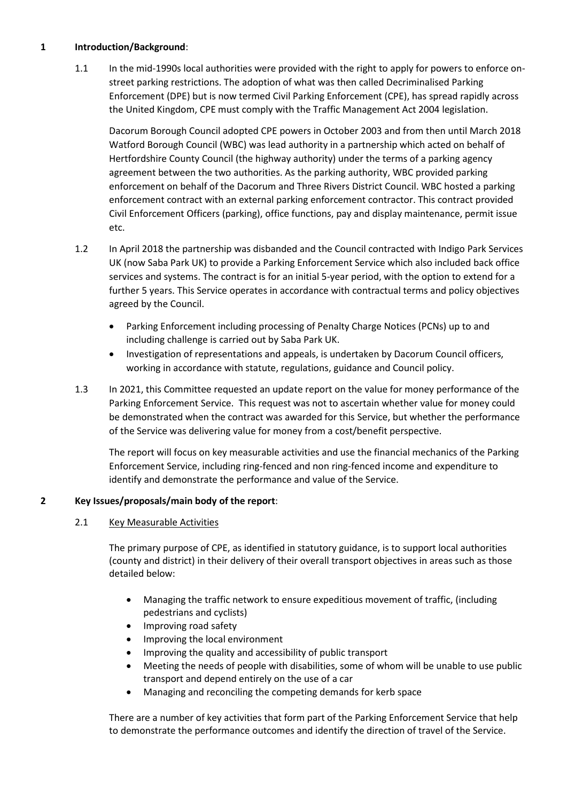# **1 Introduction/Background**:

1.1 In the mid-1990s local authorities were provided with the right to apply for powers to enforce onstreet parking restrictions. The adoption of what was then called Decriminalised Parking Enforcement (DPE) but is now termed Civil Parking Enforcement (CPE), has spread rapidly across the United Kingdom, CPE must comply with the Traffic Management Act 2004 legislation.

Dacorum Borough Council adopted CPE powers in October 2003 and from then until March 2018 Watford Borough Council (WBC) was lead authority in a partnership which acted on behalf of Hertfordshire County Council (the highway authority) under the terms of a parking agency agreement between the two authorities. As the parking authority, WBC provided parking enforcement on behalf of the Dacorum and Three Rivers District Council. WBC hosted a parking enforcement contract with an external parking enforcement contractor. This contract provided Civil Enforcement Officers (parking), office functions, pay and display maintenance, permit issue etc.

- 1.2 In April 2018 the partnership was disbanded and the Council contracted with Indigo Park Services UK (now Saba Park UK) to provide a Parking Enforcement Service which also included back office services and systems. The contract is for an initial 5-year period, with the option to extend for a further 5 years. This Service operates in accordance with contractual terms and policy objectives agreed by the Council.
	- Parking Enforcement including processing of Penalty Charge Notices (PCNs) up to and including challenge is carried out by Saba Park UK.
	- Investigation of representations and appeals, is undertaken by Dacorum Council officers, working in accordance with statute, regulations, guidance and Council policy.
- 1.3 In 2021, this Committee requested an update report on the value for money performance of the Parking Enforcement Service. This request was not to ascertain whether value for money could be demonstrated when the contract was awarded for this Service, but whether the performance of the Service was delivering value for money from a cost/benefit perspective.

The report will focus on key measurable activities and use the financial mechanics of the Parking Enforcement Service, including ring-fenced and non ring-fenced income and expenditure to identify and demonstrate the performance and value of the Service.

#### **2 Key Issues/proposals/main body of the report**:

#### 2.1 Key Measurable Activities

The primary purpose of CPE, as identified in statutory guidance, is to support local authorities (county and district) in their delivery of their overall transport objectives in areas such as those detailed below:

- Managing the traffic network to ensure expeditious movement of traffic, (including pedestrians and cyclists)
- Improving road safety
- Improving the local environment
- Improving the quality and accessibility of public transport
- Meeting the needs of people with disabilities, some of whom will be unable to use public transport and depend entirely on the use of a car
- Managing and reconciling the competing demands for kerb space

There are a number of key activities that form part of the Parking Enforcement Service that help to demonstrate the performance outcomes and identify the direction of travel of the Service.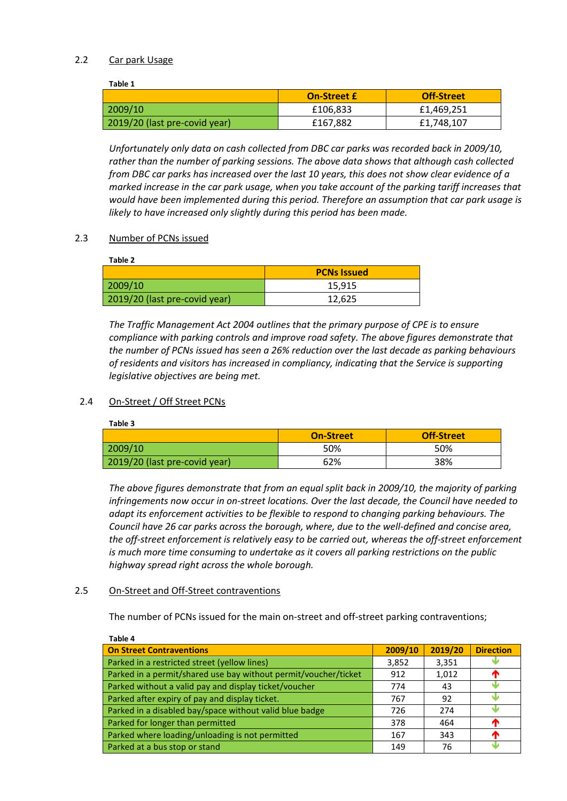#### 2.2 Car park Usage

**Table 1**

| .                             |                    |                   |
|-------------------------------|--------------------|-------------------|
|                               | <b>On-Street £</b> | <b>Off-Street</b> |
| 2009/10                       | £106,833           | £1,469,251        |
| 2019/20 (last pre-covid year) | £167,882           | £1,748,107        |

*Unfortunately only data on cash collected from DBC car parks was recorded back in 2009/10, rather than the number of parking sessions. The above data shows that although cash collected from DBC car parks has increased over the last 10 years, this does not show clear evidence of a marked increase in the car park usage, when you take account of the parking tariff increases that would have been implemented during this period. Therefore an assumption that car park usage is likely to have increased only slightly during this period has been made.*

#### 2.3 Number of PCNs issued

| Table 2                       |                    |
|-------------------------------|--------------------|
|                               | <b>PCNs Issued</b> |
| 2009/10                       | 15,915             |
| 2019/20 (last pre-covid year) | 12,625             |

*The Traffic Management Act 2004 outlines that the primary purpose of CPE is to ensure compliance with parking controls and improve road safety. The above figures demonstrate that the number of PCNs issued has seen a 26% reduction over the last decade as parking behaviours of residents and visitors has increased in compliancy, indicating that the Service is supporting legislative objectives are being met.*

# 2.4 On-Street / Off Street PCNs

**Table 3**

|                               | <b>On-Street</b> | <b>Off-Street</b> |
|-------------------------------|------------------|-------------------|
| 2009/10                       | 50%              | 50%               |
| 2019/20 (last pre-covid year) | 62%              | 38%               |

*The above figures demonstrate that from an equal split back in 2009/10, the majority of parking infringements now occur in on-street locations. Over the last decade, the Council have needed to adapt its enforcement activities to be flexible to respond to changing parking behaviours. The Council have 26 car parks across the borough, where, due to the well-defined and concise area, the off-street enforcement is relatively easy to be carried out, whereas the off-street enforcement is much more time consuming to undertake as it covers all parking restrictions on the public highway spread right across the whole borough.*

#### 2.5 On-Street and Off-Street contraventions

The number of PCNs issued for the main on-street and off-street parking contraventions;

| Table 4                                                         |         |         |                  |
|-----------------------------------------------------------------|---------|---------|------------------|
| <b>On Street Contraventions</b>                                 | 2009/10 | 2019/20 | <b>Direction</b> |
| Parked in a restricted street (yellow lines)                    | 3,852   | 3,351   |                  |
| Parked in a permit/shared use bay without permit/voucher/ticket | 912     | 1,012   | T                |
| Parked without a valid pay and display ticket/voucher           | 774     | 43      |                  |
| Parked after expiry of pay and display ticket.                  | 767     | 92      |                  |
| Parked in a disabled bay/space without valid blue badge         | 726     | 274     |                  |
| Parked for longer than permitted                                | 378     | 464     | $\mathbf T$      |
| Parked where loading/unloading is not permitted                 | 167     | 343     | ́∩               |
| Parked at a bus stop or stand                                   | 149     | 76      |                  |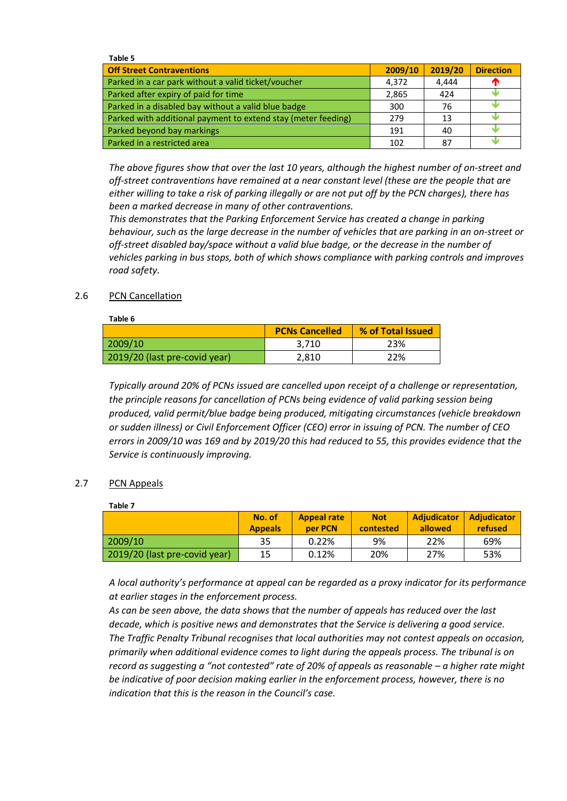| Table 5                                                       |         |         |                  |
|---------------------------------------------------------------|---------|---------|------------------|
| <b>Off Street Contraventions</b>                              | 2009/10 | 2019/20 | <b>Direction</b> |
| Parked in a car park without a valid ticket/voucher           | 4.372   | 4.444   |                  |
| Parked after expiry of paid for time                          | 2,865   | 424     |                  |
| Parked in a disabled bay without a valid blue badge           | 300     | 76      |                  |
| Parked with additional payment to extend stay (meter feeding) | 279     | 13      |                  |
| Parked beyond bay markings                                    | 191     | 40      |                  |
| Parked in a restricted area                                   | 102     | 87      |                  |

*The above figures show that over the last 10 years, although the highest number of on-street and off-street contraventions have remained at a near constant level (these are the people that are either willing to take a risk of parking illegally or are not put off by the PCN charges), there has been a marked decrease in many of other contraventions.*

*This demonstrates that the Parking Enforcement Service has created a change in parking behaviour, such as the large decrease in the number of vehicles that are parking in an on-street or off-street disabled bay/space without a valid blue badge, or the decrease in the number of vehicles parking in bus stops, both of which shows compliance with parking controls and improves road safety.* 

### 2.6 PCN Cancellation

| Table 6                       |                       |                   |
|-------------------------------|-----------------------|-------------------|
|                               | <b>PCNs Cancelled</b> | % of Total Issued |
| 2009/10                       | 3.710                 | 23%               |
| 2019/20 (last pre-covid year) | 2,810                 | 22%               |

*Typically around 20% of PCNs issued are cancelled upon receipt of a challenge or representation, the principle reasons for cancellation of PCNs being evidence of valid parking session being produced, valid permit/blue badge being produced, mitigating circumstances (vehicle breakdown or sudden illness) or Civil Enforcement Officer (CEO) error in issuing of PCN. The number of CEO errors in 2009/10 was 169 and by 2019/20 this had reduced to 55, this provides evidence that the Service is continuously improving.* 

# 2.7 PCN Appeals

**Table 7**

|                               | No. of<br><b>Appeals</b> | <b>Appeal rate</b><br>per PCN | <b>Not</b><br>contested | <b>Adjudicator</b><br>allowed | <b>Adjudicator</b><br>refused |
|-------------------------------|--------------------------|-------------------------------|-------------------------|-------------------------------|-------------------------------|
| 2009/10                       | 35                       | 0.22%                         | 9%                      | 22%                           | 69%                           |
| 2019/20 (last pre-covid year) | 15                       | 0.12%                         | 20%                     | 27%                           | 53%                           |

*A local authority's performance at appeal can be regarded as a proxy indicator for its performance at earlier stages in the enforcement process.* 

*As can be seen above, the data shows that the number of appeals has reduced over the last decade, which is positive news and demonstrates that the Service is delivering a good service. The Traffic Penalty Tribunal recognises that local authorities may not contest appeals on occasion, primarily when additional evidence comes to light during the appeals process. The tribunal is on record as suggesting a "not contested" rate of 20% of appeals as reasonable – a higher rate might be indicative of poor decision making earlier in the enforcement process, however, there is no indication that this is the reason in the Council's case.*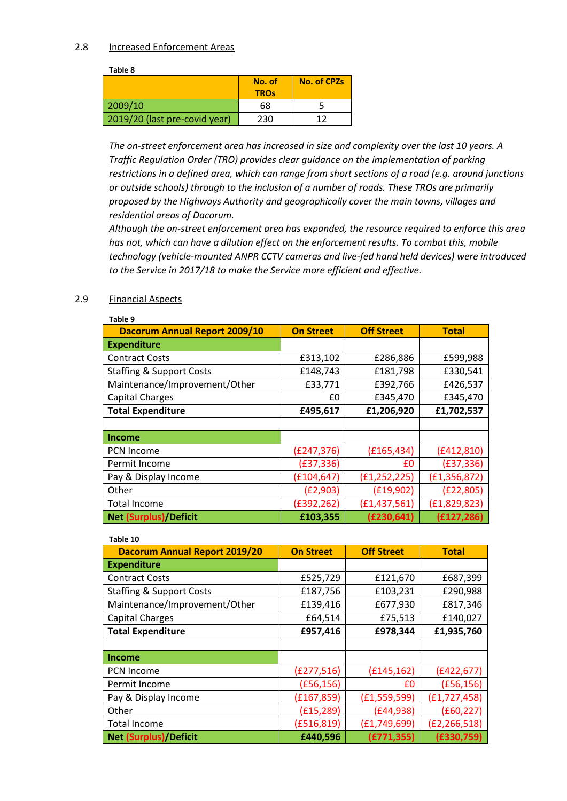#### 2.8 Increased Enforcement Areas

**Table 8**

|                               | No. of<br><b>TROs</b> | <b>No. of CPZs</b> |
|-------------------------------|-----------------------|--------------------|
| 2009/10                       | 68                    |                    |
| 2019/20 (last pre-covid year) | 230                   | 1 ว                |

*The on-street enforcement area has increased in size and complexity over the last 10 years. A Traffic Regulation Order (TRO) provides clear guidance on the implementation of parking restrictions in a defined area, which can range from short sections of a road (e.g. around junctions or outside schools) through to the inclusion of a number of roads. These TROs are primarily proposed by the Highways Authority and geographically cover the main towns, villages and residential areas of Dacorum.* 

*Although the on-street enforcement area has expanded, the resource required to enforce this area has not, which can have a dilution effect on the enforcement results. To combat this, mobile technology (vehicle-mounted ANPR CCTV cameras and live-fed hand held devices) were introduced to the Service in 2017/18 to make the Service more efficient and effective.* 

# 2.9 Financial Aspects

| Table 9                              |                  |                   |                |
|--------------------------------------|------------------|-------------------|----------------|
| <b>Dacorum Annual Report 2009/10</b> | <b>On Street</b> | <b>Off Street</b> | <b>Total</b>   |
| <b>Expenditure</b>                   |                  |                   |                |
| <b>Contract Costs</b>                | £313,102         | £286,886          | £599,988       |
| <b>Staffing &amp; Support Costs</b>  | £148,743         | £181,798          | £330,541       |
| Maintenance/Improvement/Other        | £33,771          | £392,766          | £426,537       |
| <b>Capital Charges</b>               | £0               | £345,470          | £345,470       |
| <b>Total Expenditure</b>             | £495,617         | £1,206,920        | £1,702,537     |
|                                      |                  |                   |                |
| Income                               |                  |                   |                |
| <b>PCN Income</b>                    | (E247, 376)      | (E165, 434)       | (E412, 810)    |
| Permit Income                        | (E37, 336)       | £0                | (E37, 336)     |
| Pay & Display Income                 | (E104, 647)      | (f1, 252, 225)    | (E1, 356, 872) |
| Other                                | (E2, 903)        | (E19,902)         | (E22, 805)     |
| Total Income                         | (£392,262)       | (E1, 437, 561)    | (E1, 829, 823) |
| Net (Surplus)/Deficit                | £103,355         | (£230,641)        | (E127, 286)    |

| Table 10                             |                  |                   |                |
|--------------------------------------|------------------|-------------------|----------------|
| <b>Dacorum Annual Report 2019/20</b> | <b>On Street</b> | <b>Off Street</b> | <b>Total</b>   |
| <b>Expenditure</b>                   |                  |                   |                |
| <b>Contract Costs</b>                | £525,729         | £121,670          | £687,399       |
| <b>Staffing &amp; Support Costs</b>  | £187,756         | £103,231          | £290,988       |
| Maintenance/Improvement/Other        | £139,416         | £677,930          | £817,346       |
| <b>Capital Charges</b>               | £64,514          | £75,513           | £140,027       |
| <b>Total Expenditure</b>             | £957,416         | £978,344          | £1,935,760     |
|                                      |                  |                   |                |
| Income                               |                  |                   |                |
| <b>PCN Income</b>                    | (E277,516)       | (E145, 162)       | (E422, 677)    |
| Permit Income                        | (E56, 156)       | £0                | (E56, 156)     |
| Pay & Display Income                 | (E167, 859)      | (E1, 559, 599)    | (E1, 727, 458) |
| Other                                | (E15, 289)       | (E44, 938)        | (E60, 227)     |
| <b>Total Income</b>                  | (E516, 819)      | (E1, 749, 699)    | (E2, 266, 518) |
| <b>Net (Surplus)/Deficit</b>         | £440,596         | (E771, 355)       | (E330,759)     |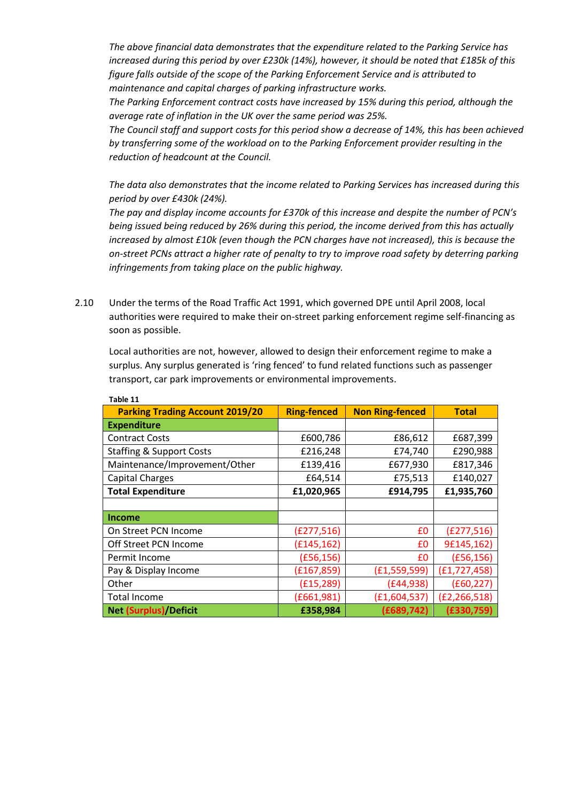*The above financial data demonstrates that the expenditure related to the Parking Service has increased during this period by over £230k (14%), however, it should be noted that £185k of this figure falls outside of the scope of the Parking Enforcement Service and is attributed to maintenance and capital charges of parking infrastructure works.*

*The Parking Enforcement contract costs have increased by 15% during this period, although the average rate of inflation in the UK over the same period was 25%.*

*The Council staff and support costs for this period show a decrease of 14%, this has been achieved by transferring some of the workload on to the Parking Enforcement provider resulting in the reduction of headcount at the Council.*

*The data also demonstrates that the income related to Parking Services has increased during this period by over £430k (24%).*

*The pay and display income accounts for £370k of this increase and despite the number of PCN's being issued being reduced by 26% during this period, the income derived from this has actually increased by almost £10k (even though the PCN charges have not increased), this is because the on-street PCNs attract a higher rate of penalty to try to improve road safety by deterring parking infringements from taking place on the public highway.*

2.10 Under the terms of the Road Traffic Act 1991, which governed DPE until April 2008, local authorities were required to make their on-street parking enforcement regime self-financing as soon as possible.

Local authorities are not, however, allowed to design their enforcement regime to make a surplus. Any surplus generated is 'ring fenced' to fund related functions such as passenger transport, car park improvements or environmental improvements.

**Table 11**

| <b>Parking Trading Account 2019/20</b> | <b>Ring-fenced</b> | <b>Non Ring-fenced</b> | <b>Total</b>   |
|----------------------------------------|--------------------|------------------------|----------------|
| <b>Expenditure</b>                     |                    |                        |                |
| <b>Contract Costs</b>                  | £600,786           | £86,612                | £687,399       |
| <b>Staffing &amp; Support Costs</b>    | £216,248           | £74,740                | £290,988       |
| Maintenance/Improvement/Other          | £139,416           | £677,930               | £817,346       |
| <b>Capital Charges</b>                 | £64,514            | £75,513                | £140,027       |
| <b>Total Expenditure</b>               | £1,020,965         | £914,795               | £1,935,760     |
|                                        |                    |                        |                |
| <b>Income</b>                          |                    |                        |                |
| On Street PCN Income                   | (E277, 516)        | £0                     | (E277, 516)    |
| Off Street PCN Income                  | (f145, 162)        | £0                     | 9£145,162)     |
| Permit Income                          | (E56, 156)         | £0                     | (E56, 156)     |
| Pay & Display Income                   | (E167, 859)        | (E1, 559, 599)         | (E1, 727, 458) |
| Other                                  | (f15, 289)         | (E44, 938)             | (E60, 227)     |
| <b>Total Income</b>                    | (E661,981)         | (E1,604,537)           | (E2, 266, 518) |
| <b>Net (Surplus)/Deficit</b>           | £358,984           | (E689, 742)            | (E330,759)     |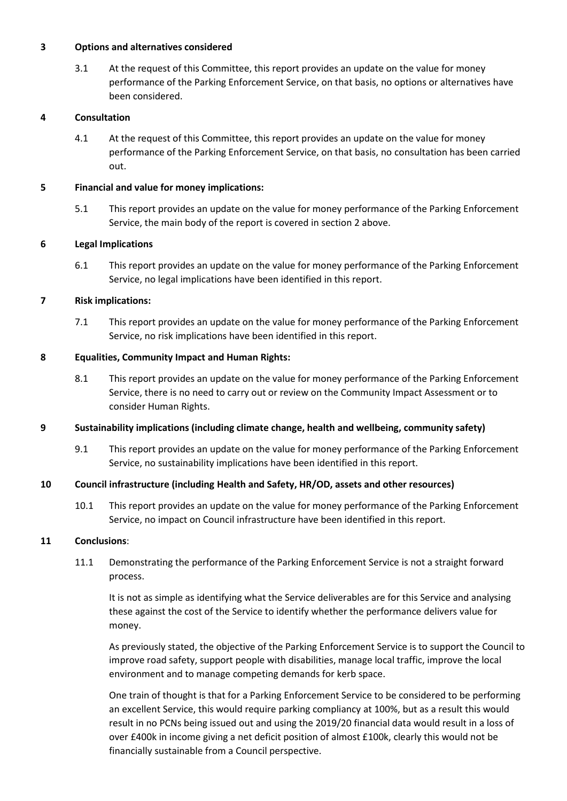#### **3 Options and alternatives considered**

3.1 At the request of this Committee, this report provides an update on the value for money performance of the Parking Enforcement Service, on that basis, no options or alternatives have been considered.

# **4 Consultation**

4.1 At the request of this Committee, this report provides an update on the value for money performance of the Parking Enforcement Service, on that basis, no consultation has been carried out.

### **5 Financial and value for money implications:**

5.1 This report provides an update on the value for money performance of the Parking Enforcement Service, the main body of the report is covered in section 2 above.

### **6 Legal Implications**

6.1 This report provides an update on the value for money performance of the Parking Enforcement Service, no legal implications have been identified in this report.

### **7 Risk implications:**

7.1 This report provides an update on the value for money performance of the Parking Enforcement Service, no risk implications have been identified in this report.

### **8 Equalities, Community Impact and Human Rights:**

8.1 This report provides an update on the value for money performance of the Parking Enforcement Service, there is no need to carry out or review on the Community Impact Assessment or to consider Human Rights.

# **9 Sustainability implications (including climate change, health and wellbeing, community safety)**

9.1 This report provides an update on the value for money performance of the Parking Enforcement Service, no sustainability implications have been identified in this report.

# **10 Council infrastructure (including Health and Safety, HR/OD, assets and other resources)**

10.1 This report provides an update on the value for money performance of the Parking Enforcement Service, no impact on Council infrastructure have been identified in this report.

#### **11 Conclusions**:

11.1 Demonstrating the performance of the Parking Enforcement Service is not a straight forward process.

It is not as simple as identifying what the Service deliverables are for this Service and analysing these against the cost of the Service to identify whether the performance delivers value for money.

As previously stated, the objective of the Parking Enforcement Service is to support the Council to improve road safety, support people with disabilities, manage local traffic, improve the local environment and to manage competing demands for kerb space.

One train of thought is that for a Parking Enforcement Service to be considered to be performing an excellent Service, this would require parking compliancy at 100%, but as a result this would result in no PCNs being issued out and using the 2019/20 financial data would result in a loss of over £400k in income giving a net deficit position of almost £100k, clearly this would not be financially sustainable from a Council perspective.